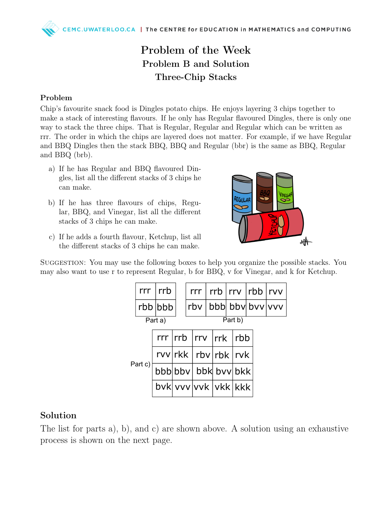## Problem of the Week Problem B and Solution Three-Chip Stacks

## Problem

Chip's favourite snack food is Dingles potato chips. He enjoys layering 3 chips together to make a stack of interesting flavours. If he only has Regular flavoured Dingles, there is only one way to stack the three chips. That is Regular, Regular and Regular which can be written as rrr. The order in which the chips are layered does not matter. For example, if we have Regular and BBQ Dingles then the stack BBQ, BBQ and Regular (bbr) is the same as BBQ, Regular and BBQ (brb).

- a) If he has Regular and BBQ flavoured Dingles, list all the different stacks of 3 chips he can make.
- b) If he has three flavours of chips, Regular, BBQ, and Vinegar, list all the different stacks of 3 chips he can make.



c) If he adds a fourth flavour, Ketchup, list all the different stacks of 3 chips he can make.

SUGGESTION: You may use the following boxes to help you organize the possible stacks. You may also want to use r to represent Regular, b for BBQ, v for Vinegar, and k for Ketchup.

|  |         | $rrr$ $rrb$         |  |  |                              |                              |  | $rrr$   $rrb$   $rrv$   $rbb$   $rvv$ |                     |  |  |                          |
|--|---------|---------------------|--|--|------------------------------|------------------------------|--|---------------------------------------|---------------------|--|--|--------------------------|
|  |         | rbb bbb             |  |  |                              |                              |  |                                       |                     |  |  | rbv   bbb  bbv  bvv  vvv |
|  |         | Part a)             |  |  |                              |                              |  |                                       | Part b)             |  |  |                          |
|  |         |                     |  |  | $rr$ $rrb$ $rrv$ $rrk$ $rbb$ |                              |  |                                       |                     |  |  |                          |
|  |         |                     |  |  |                              | $rvv$  rkk   rbv   rbk   rvk |  |                                       |                     |  |  |                          |
|  | Part c) |                     |  |  |                              |                              |  |                                       | bbb bbv bbk bvv bkk |  |  |                          |
|  |         | bvk vvv vvk vkk kkk |  |  |                              |                              |  |                                       |                     |  |  |                          |

## Solution

The list for parts a), b), and c) are shown above. A solution using an exhaustive process is shown on the next page.